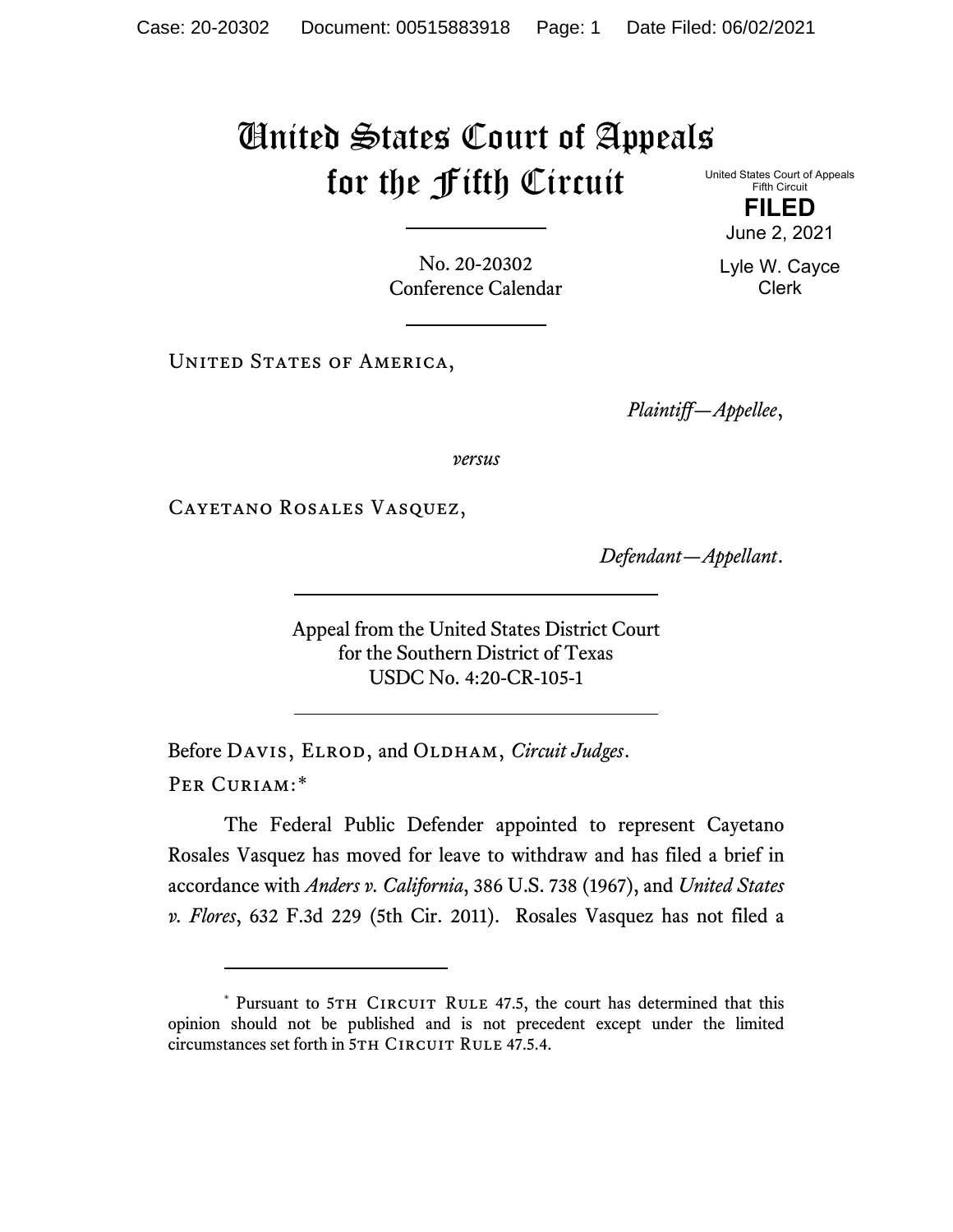## United States Court of Appeals for the Fifth Circuit

United States Court of Appeals Fifth Circuit

> **FILED** June 2, 2021

Lyle W. Cayce Clerk

No. 20-20302 Conference Calendar

UNITED STATES OF AMERICA,

*Plaintiff—Appellee*,

*versus*

Cayetano Rosales Vasquez,

*Defendant—Appellant*.

Appeal from the United States District Court for the Southern District of Texas USDC No. 4:20-CR-105-1

Before DAVIS, ELROD, and OLDHAM, *Circuit Judges*. Per Curiam:[\\*](#page-0-0)

The Federal Public Defender appointed to represent Cayetano Rosales Vasquez has moved for leave to withdraw and has filed a brief in accordance with *Anders v. California*, 386 U.S. 738 (1967), and *United States v. Flores*, 632 F.3d 229 (5th Cir. 2011). Rosales Vasquez has not filed a

<span id="page-0-0"></span><sup>\*</sup> Pursuant to 5TH CIRCUIT RULE 47.5, the court has determined that this opinion should not be published and is not precedent except under the limited circumstances set forth in 5TH CIRCUIT RULE 47.5.4.